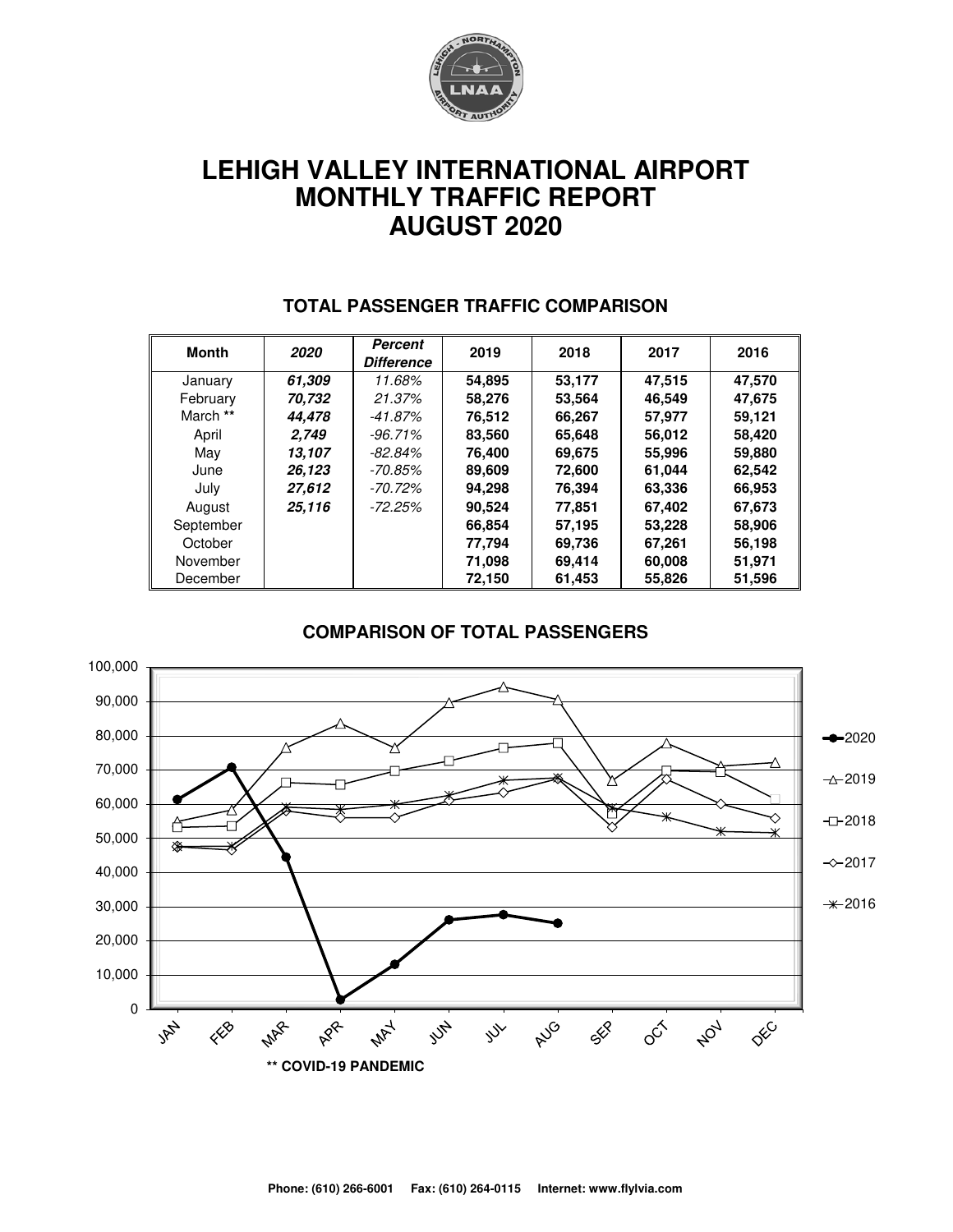

# **LEHIGH VALLEY INTERNATIONAL AIRPORT MONTHLY TRAFFIC REPORT AUGUST 2020**

| Month     | 2020   | <b>Percent</b><br><b>Difference</b> | 2019   | 2018   | 2017   | 2016   |
|-----------|--------|-------------------------------------|--------|--------|--------|--------|
| January   | 61.309 | 11.68%                              | 54,895 | 53,177 | 47,515 | 47,570 |
| February  | 70.732 | 21.37%                              | 58.276 | 53.564 | 46.549 | 47.675 |
| March **  | 44.478 | -41.87%                             | 76,512 | 66,267 | 57,977 | 59.121 |
| April     | 2.749  | $-96.71\%$                          | 83,560 | 65,648 | 56,012 | 58,420 |
| May       | 13.107 | $-82.84\%$                          | 76.400 | 69,675 | 55,996 | 59,880 |
| June      | 26,123 | -70.85%                             | 89,609 | 72,600 | 61,044 | 62,542 |
| July      | 27,612 | -70.72%                             | 94.298 | 76,394 | 63,336 | 66,953 |
| August    | 25.116 | $-72.25%$                           | 90,524 | 77.851 | 67,402 | 67,673 |
| September |        |                                     | 66.854 | 57,195 | 53,228 | 58,906 |
| October   |        |                                     | 77,794 | 69,736 | 67,261 | 56,198 |
| November  |        |                                     | 71,098 | 69,414 | 60,008 | 51,971 |
| December  |        |                                     | 72,150 | 61,453 | 55,826 | 51,596 |

#### **TOTAL PASSENGER TRAFFIC COMPARISON**

#### **COMPARISON OF TOTAL PASSENGERS**

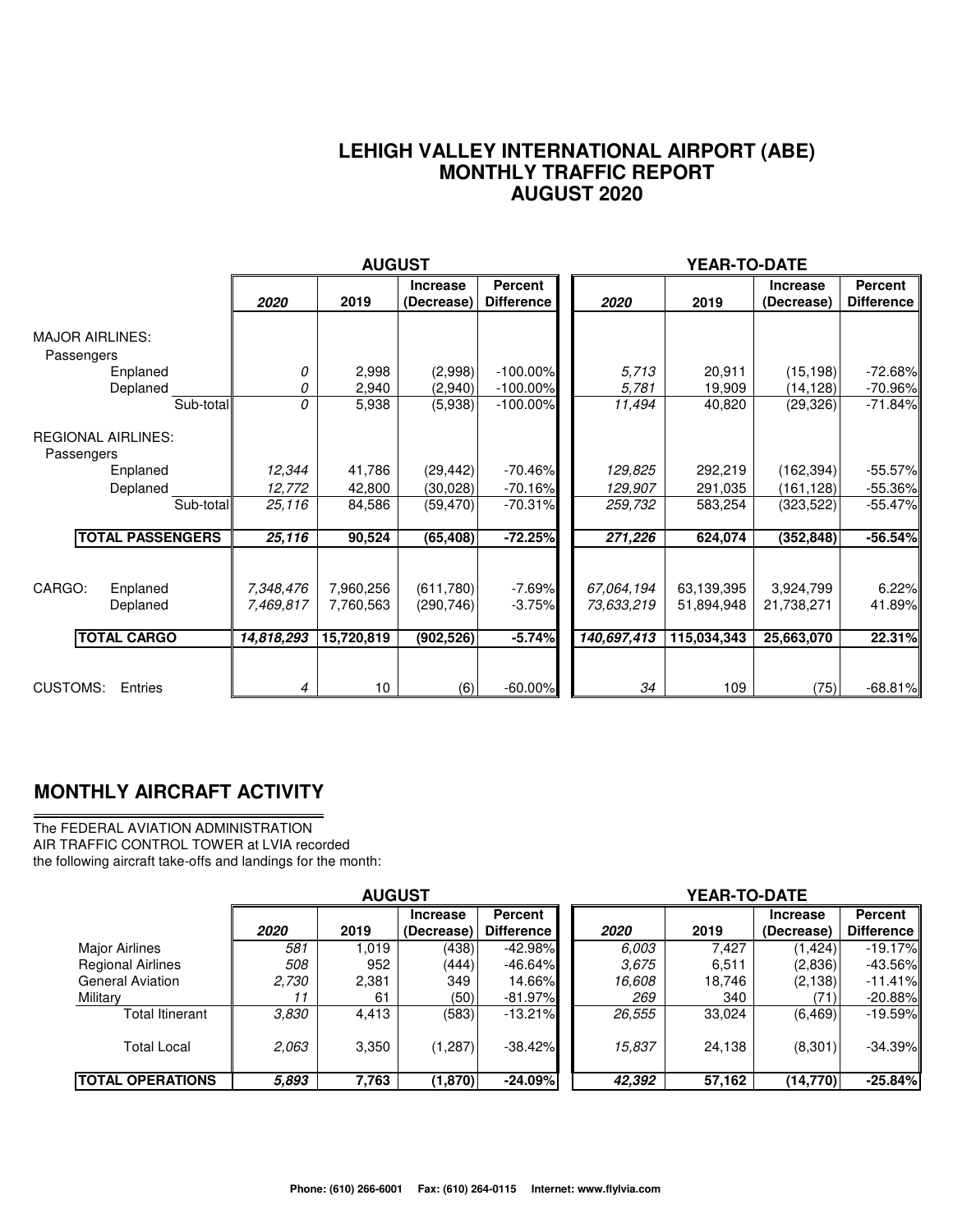#### **LEHIGH VALLEY INTERNATIONAL AIRPORT (ABE) MONTHLY TRAFFIC REPORT AUGUST 2020**

|                                                      |                                      | <b>AUGUST</b>                        |                                       |                                     |                                         |                                         |                                       |                                     |
|------------------------------------------------------|--------------------------------------|--------------------------------------|---------------------------------------|-------------------------------------|-----------------------------------------|-----------------------------------------|---------------------------------------|-------------------------------------|
|                                                      | 2020                                 | 2019                                 | <b>Increase</b><br>(Decrease)         | <b>Percent</b><br><b>Difference</b> | 2020                                    | 2019                                    | <b>Increase</b><br>(Decrease)         | <b>Percent</b><br><b>Difference</b> |
| <b>MAJOR AIRLINES:</b><br>Passengers<br>Enplaned     | 0                                    | 2,998                                | (2,998)                               | $-100.00\%$                         | 5.713                                   | 20,911                                  | (15, 198)                             | $-72.68%$                           |
| Deplaned                                             | 0                                    | 2,940                                | (2,940)                               | $-100.00\%$                         | 5,781                                   | 19,909                                  | (14, 128)                             | $-70.96\%$                          |
| Sub-total                                            | 0                                    | 5,938                                | (5,938)                               | $-100.00\%$                         | 11,494                                  | 40,820                                  | (29, 326)                             | $-71.84%$                           |
| <b>REGIONAL AIRLINES:</b><br>Passengers              |                                      |                                      |                                       |                                     |                                         |                                         |                                       |                                     |
| Enplaned                                             | 12,344                               | 41,786                               | (29, 442)                             | $-70.46\%$                          | 129,825                                 | 292,219                                 | (162, 394)                            | $-55.57\%$                          |
| Deplaned                                             | 12,772                               | 42,800                               | (30,028)                              | $-70.16%$                           | 129,907                                 | 291,035                                 | (161, 128)                            | $-55.36\%$                          |
| Sub-total                                            | 25,116                               | 84,586                               | (59, 470)                             | $-70.31%$                           | 259,732                                 | 583,254                                 | (323, 522)                            | $-55.47%$                           |
| <b>TOTAL PASSENGERS</b>                              | 25,116                               | 90,524                               | (65, 408)                             | $-72.25%$                           | 271,226                                 | 624,074                                 | (352, 848)                            | $-56.54%$                           |
| CARGO:<br>Enplaned<br>Deplaned<br><b>TOTAL CARGO</b> | 7,348,476<br>7,469,817<br>14,818,293 | 7,960,256<br>7,760,563<br>15,720,819 | (611,780)<br>(290, 746)<br>(902, 526) | $-7.69%$<br>$-3.75%$<br>$-5.74%$    | 67,064,194<br>73,633,219<br>140,697,413 | 63,139,395<br>51,894,948<br>115,034,343 | 3,924,799<br>21,738,271<br>25,663,070 | 6.22%<br>41.89%<br>22.31%           |
| <b>CUSTOMS:</b><br>Entries                           | 4                                    | 10                                   | (6)                                   | $-60.00\%$                          | 34                                      | 109                                     | (75)                                  | $-68.81%$                           |

### **MONTHLY AIRCRAFT ACTIVITY**

The FEDERAL AVIATION ADMINISTRATION AIR TRAFFIC CONTROL TOWER at LVIA recorded the following aircraft take-offs and landings for the month:

|                          | <b>AUGUST</b> |       |                               |                              |  | YEAR-TO-DATE |        |                               |                              |  |  |
|--------------------------|---------------|-------|-------------------------------|------------------------------|--|--------------|--------|-------------------------------|------------------------------|--|--|
|                          | 2020          | 2019  | <b>Increase</b><br>(Decrease) | <b>Percent</b><br>Difference |  | 2020         | 2019   | <b>Increase</b><br>(Decrease) | Percent<br><b>Difference</b> |  |  |
| Major Airlines           | 581           | 1.019 | (438)                         | $-42.98%$                    |  | 6.003        | 7.427  | (1, 424)                      | $-19.17%$                    |  |  |
| <b>Regional Airlines</b> | 508           | 952   | (444)                         | $-46.64\%$                   |  | 3.675        | 6,511  | (2,836)                       | $-43.56\%$                   |  |  |
| <b>General Aviation</b>  | 2,730         | 2,381 | 349                           | 14.66%l                      |  | 16.608       | 18,746 | (2, 138)                      | $-11.41%$                    |  |  |
| Military                 | 11            | 61    | (50)                          | -81.97%I                     |  | 269          | 340    | (71)                          | $-20.88%$                    |  |  |
| Total Itinerant          | 3,830         | 4,413 | (583)                         | $-13.21\%$                   |  | 26,555       | 33,024 | (6, 469)                      | $-19.59%$                    |  |  |
| <b>Total Local</b>       | 2.063         | 3,350 | (1,287)                       | $-38.42\%$                   |  | 15,837       | 24,138 | (8,301)                       | $-34.39\%$                   |  |  |
| <b>ITOTAL OPERATIONS</b> | 5,893         | 7,763 | (1,870)                       | $-24.09%$                    |  | 42,392       | 57,162 | (14, 770)                     | $-25.84%$                    |  |  |